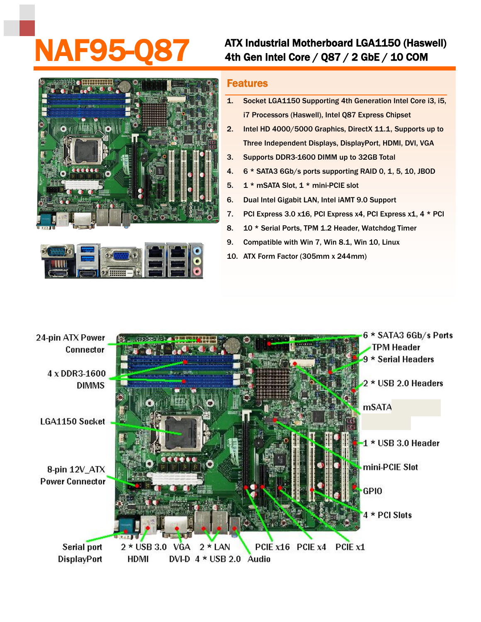## AF95-Q87 ATX Industrial Motherboard LGA1150 (Haswell)<br>4th Gen Intel Core / Q87 / 2 GbE / 10 COM





## Features

- 1. Socket LGA1150 Supporting 4th Generation Intel Core i3, i5, i7 Processors (Haswell), Intel Q87 Express Chipset
- 2. Intel HD 4000/5000 Graphics, DirectX 11.1, Supports up to Three Independent Displays, DisplayPort, HDMI, DVI, VGA
- 3. Supports DDR3-1600 DIMM up to 32GB Total
- 4. 6 \* SATA3 6Gb/s ports supporting RAID 0, 1, 5, 10, JBOD
- 5. 1 \* mSATA Slot, 1 \* mini-PCIE slot
- 6. Dual Intel Gigabit LAN, Intel iAMT 9.0 Support
- 7. PCI Express 3.0 x16, PCI Express x4, PCI Express x1, 4 \* PCI
- 8. 10 \* Serial Ports, TPM 1.2 Header, Watchdog Timer
- 9. Compatible with Win 7, Win 8.1, Win 10, Linux
- 10. ATX Form Factor (305mm x 244mm)